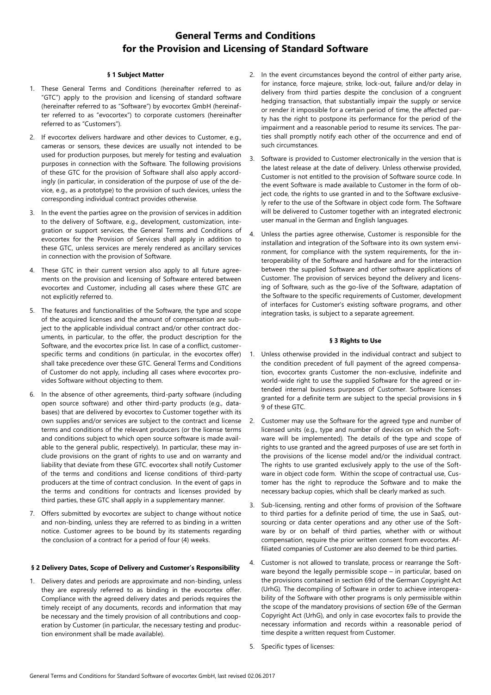# **General Terms and Conditions for the Provision and Licensing of Standard Software**

#### **§ 1 Subject Matter**

- 1. These General Terms and Conditions (hereinafter referred to as "GTC") apply to the provision and licensing of standard software (hereinafter referred to as "Software") by evocortex GmbH (hereinafter referred to as "evocortex") to corporate customers (hereinafter referred to as "Customers").
- 2. If evocortex delivers hardware and other devices to Customer, e.g., cameras or sensors, these devices are usually not intended to be used for production purposes, but merely for testing and evaluation purposes in connection with the Software. The following provisions of these GTC for the provision of Software shall also apply accordingly (in particular, in consideration of the purpose of use of the device, e.g., as a prototype) to the provision of such devices, unless the corresponding individual contract provides otherwise.
- 3. In the event the parties agree on the provision of services in addition to the delivery of Software, e.g., development, customization, integration or support services, the General Terms and Conditions of evocortex for the Provision of Services shall apply in addition to these GTC, unless services are merely rendered as ancillary services in connection with the provision of Software.
- 4. These GTC in their current version also apply to all future agreements on the provision and licensing of Software entered between evocortex and Customer, including all cases where these GTC are not explicitly referred to.
- 5. The features and functionalities of the Software, the type and scope of the acquired licenses and the amount of compensation are subject to the applicable individual contract and/or other contract documents, in particular, to the offer, the product description for the Software, and the evocortex price list. In case of a conflict, customerspecific terms and conditions (in particular, in the evocortex offer) shall take precedence over these GTC. General Terms and Conditions of Customer do not apply, including all cases where evocortex provides Software without objecting to them.
- 6. In the absence of other agreements, third-party software (including open source software) and other third-party products (e.g., databases) that are delivered by evocortex to Customer together with its own supplies and/or services are subject to the contract and license terms and conditions of the relevant producers (or the license terms and conditions subject to which open source software is made available to the general public, respectively). In particular, these may include provisions on the grant of rights to use and on warranty and liability that deviate from these GTC. evocortex shall notify Customer of the terms and conditions and license conditions of third-party producers at the time of contract conclusion. In the event of gaps in the terms and conditions for contracts and licenses provided by third parties, these GTC shall apply in a supplementary manner.
- 7. Offers submitted by evocortex are subject to change without notice and non-binding, unless they are referred to as binding in a written notice. Customer agrees to be bound by its statements regarding the conclusion of a contract for a period of four (4) weeks.

## **§ 2 Delivery Dates, Scope of Delivery and Customer's Responsibility**

1. Delivery dates and periods are approximate and non-binding, unless they are expressly referred to as binding in the evocortex offer. Compliance with the agreed delivery dates and periods requires the timely receipt of any documents, records and information that may be necessary and the timely provision of all contributions and cooperation by Customer (in particular, the necessary testing and production environment shall be made available).

- 2. In the event circumstances beyond the control of either party arise, for instance, force majeure, strike, lock-out, failure and/or delay in delivery from third parties despite the conclusion of a congruent hedging transaction, that substantially impair the supply or service or render it impossible for a certain period of time, the affected party has the right to postpone its performance for the period of the impairment and a reasonable period to resume its services. The parties shall promptly notify each other of the occurrence and end of such circumstances.
- 3. Software is provided to Customer electronically in the version that is the latest release at the date of delivery. Unless otherwise provided, Customer is not entitled to the provision of Software source code. In the event Software is made available to Customer in the form of object code, the rights to use granted in and to the Software exclusively refer to the use of the Software in object code form. The Software will be delivered to Customer together with an integrated electronic user manual in the German and English languages.
- 4. Unless the parties agree otherwise, Customer is responsible for the installation and integration of the Software into its own system environment, for compliance with the system requirements, for the interoperability of the Software and hardware and for the interaction between the supplied Software and other software applications of Customer. The provision of services beyond the delivery and licensing of Software, such as the go-live of the Software, adaptation of the Software to the specific requirements of Customer, development of interfaces for Customer's existing software programs, and other integration tasks, is subject to a separate agreement.

#### **§ 3 Rights to Use**

- Unless otherwise provided in the individual contract and subject to the condition precedent of full payment of the agreed compensation, evocortex grants Customer the non-exclusive, indefinite and world-wide right to use the supplied Software for the agreed or intended internal business purposes of Customer. Software licenses granted for a definite term are subject to the special provisions in § 9 of these GTC.
- 2. Customer may use the Software for the agreed type and number of licensed units (e.g., type and number of devices on which the Software will be implemented). The details of the type and scope of rights to use granted and the agreed purposes of use are set forth in the provisions of the license model and/or the individual contract. The rights to use granted exclusively apply to the use of the Software in object code form. Within the scope of contractual use, Customer has the right to reproduce the Software and to make the necessary backup copies, which shall be clearly marked as such.
- 3. Sub-licensing, renting and other forms of provision of the Software to third parties for a definite period of time, the use in SaaS, outsourcing or data center operations and any other use of the Software by or on behalf of third parties, whether with or without compensation, require the prior written consent from evocortex. Affiliated companies of Customer are also deemed to be third parties.
- 4. Customer is not allowed to translate, process or rearrange the Software beyond the legally permissible scope – in particular, based on the provisions contained in section 69d of the German Copyright Act (UrhG). The decompiling of Software in order to achieve interoperability of the Software with other programs is only permissible within the scope of the mandatory provisions of section 69e of the German Copyright Act (UrhG), and only in case evocortex fails to provide the necessary information and records within a reasonable period of time despite a written request from Customer.
- 5. Specific types of licenses: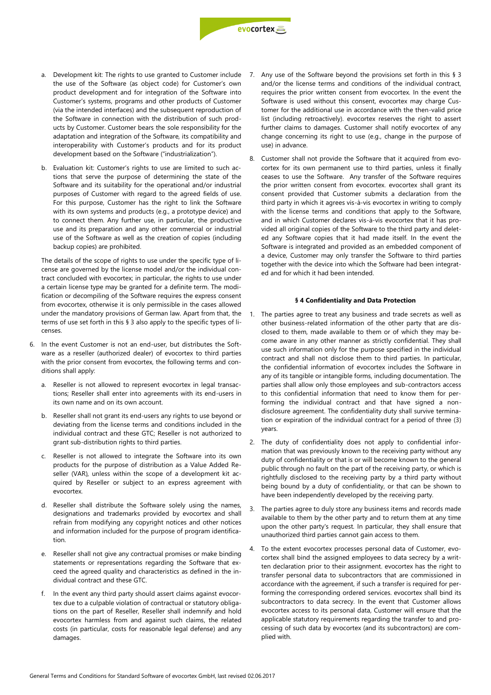

- a. Development kit: The rights to use granted to Customer include the use of the Software (as object code) for Customer's own product development and for integration of the Software into Customer's systems, programs and other products of Customer (via the intended interfaces) and the subsequent reproduction of the Software in connection with the distribution of such products by Customer. Customer bears the sole responsibility for the adaptation and integration of the Software, its compatibility and interoperability with Customer's products and for its product development based on the Software ("industrialization").
- b. Evaluation kit: Customer's rights to use are limited to such actions that serve the purpose of determining the state of the Software and its suitability for the operational and/or industrial purposes of Customer with regard to the agreed fields of use. For this purpose, Customer has the right to link the Software with its own systems and products (e.g., a prototype device) and to connect them. Any further use, in particular, the productive use and its preparation and any other commercial or industrial use of the Software as well as the creation of copies (including backup copies) are prohibited.

The details of the scope of rights to use under the specific type of license are governed by the license model and/or the individual contract concluded with evocortex; in particular, the rights to use under a certain license type may be granted for a definite term. The modification or decompiling of the Software requires the express consent from evocortex, otherwise it is only permissible in the cases allowed under the mandatory provisions of German law. Apart from that, the terms of use set forth in this § 3 also apply to the specific types of licenses.

- 6. In the event Customer is not an end-user, but distributes the Software as a reseller (authorized dealer) of evocortex to third parties with the prior consent from evocortex, the following terms and conditions shall apply:
	- a. Reseller is not allowed to represent evocortex in legal transactions; Reseller shall enter into agreements with its end-users in its own name and on its own account.
	- b. Reseller shall not grant its end-users any rights to use beyond or deviating from the license terms and conditions included in the individual contract and these GTC; Reseller is not authorized to grant sub-distribution rights to third parties.
	- c. Reseller is not allowed to integrate the Software into its own products for the purpose of distribution as a Value Added Reseller (VAR), unless within the scope of a development kit acquired by Reseller or subject to an express agreement with evocortex.
	- d. Reseller shall distribute the Software solely using the names, designations and trademarks provided by evocortex and shall refrain from modifying any copyright notices and other notices and information included for the purpose of program identification.
	- e. Reseller shall not give any contractual promises or make binding statements or representations regarding the Software that exceed the agreed quality and characteristics as defined in the individual contract and these GTC.
	- f. In the event any third party should assert claims against evocortex due to a culpable violation of contractual or statutory obligations on the part of Reseller, Reseller shall indemnify and hold evocortex harmless from and against such claims, the related costs (in particular, costs for reasonable legal defense) and any damages.
- 7. Any use of the Software beyond the provisions set forth in this § 3 and/or the license terms and conditions of the individual contract, requires the prior written consent from evocortex. In the event the Software is used without this consent, evocortex may charge Customer for the additional use in accordance with the then-valid price list (including retroactively). evocortex reserves the right to assert further claims to damages. Customer shall notify evocortex of any change concerning its right to use (e.g., change in the purpose of use) in advance.
- 8. Customer shall not provide the Software that it acquired from evocortex for its own permanent use to third parties, unless it finally ceases to use the Software. Any transfer of the Software requires the prior written consent from evocortex. evocortex shall grant its consent provided that Customer submits a declaration from the third party in which it agrees vis-à-vis evocortex in writing to comply with the license terms and conditions that apply to the Software, and in which Customer declares vis-à-vis evocortex that it has provided all original copies of the Software to the third party and deleted any Software copies that it had made itself. In the event the Software is integrated and provided as an embedded component of a device, Customer may only transfer the Software to third parties together with the device into which the Software had been integrated and for which it had been intended.

#### **§ 4 Confidentiality and Data Protection**

- The parties agree to treat any business and trade secrets as well as other business-related information of the other party that are disclosed to them, made available to them or of which they may become aware in any other manner as strictly confidential. They shall use such information only for the purpose specified in the individual contract and shall not disclose them to third parties. In particular, the confidential information of evocortex includes the Software in any of its tangible or intangible forms, including documentation. The parties shall allow only those employees and sub-contractors access to this confidential information that need to know them for performing the individual contract and that have signed a nondisclosure agreement. The confidentiality duty shall survive termination or expiration of the individual contract for a period of three (3) years.
- 2. The duty of confidentiality does not apply to confidential information that was previously known to the receiving party without any duty of confidentiality or that is or will become known to the general public through no fault on the part of the receiving party, or which is rightfully disclosed to the receiving party by a third party without being bound by a duty of confidentiality, or that can be shown to have been independently developed by the receiving party.
- 3. The parties agree to duly store any business items and records made available to them by the other party and to return them at any time upon the other party's request. In particular, they shall ensure that unauthorized third parties cannot gain access to them.
- 4. To the extent evocortex processes personal data of Customer, evocortex shall bind the assigned employees to data secrecy by a written declaration prior to their assignment. evocortex has the right to transfer personal data to subcontractors that are commissioned in accordance with the agreement, if such a transfer is required for performing the corresponding ordered services. evocortex shall bind its subcontractors to data secrecy. In the event that Customer allows evocortex access to its personal data, Customer will ensure that the applicable statutory requirements regarding the transfer to and processing of such data by evocortex (and its subcontractors) are complied with.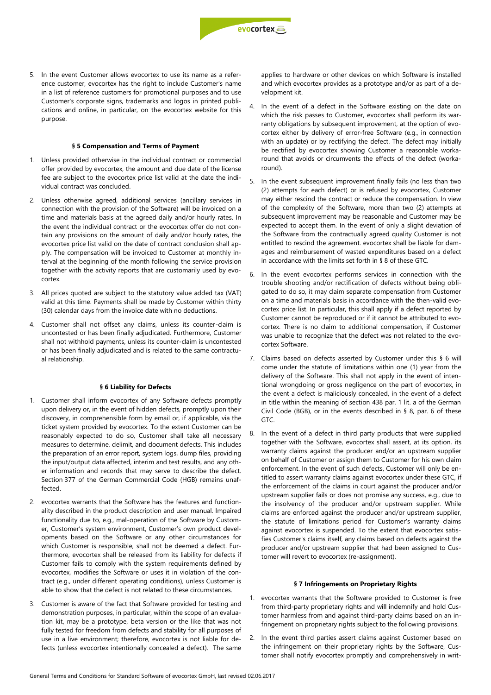5. In the event Customer allows evocortex to use its name as a reference customer, evocortex has the right to include Customer's name in a list of reference customers for promotional purposes and to use Customer's corporate signs, trademarks and logos in printed publications and online, in particular, on the evocortex website for this purpose.

#### **§ 5 Compensation and Terms of Payment**

- 1. Unless provided otherwise in the individual contract or commercial offer provided by evocortex, the amount and due date of the license fee are subject to the evocortex price list valid at the date the individual contract was concluded.
- 2. Unless otherwise agreed, additional services (ancillary services in connection with the provision of the Software) will be invoiced on a time and materials basis at the agreed daily and/or hourly rates. In the event the individual contract or the evocortex offer do not contain any provisions on the amount of daily and/or hourly rates, the evocortex price list valid on the date of contract conclusion shall apply. The compensation will be invoiced to Customer at monthly interval at the beginning of the month following the service provision together with the activity reports that are customarily used by evocortex.
- 3. All prices quoted are subject to the statutory value added tax (VAT) valid at this time. Payments shall be made by Customer within thirty (30) calendar days from the invoice date with no deductions.
- 4. Customer shall not offset any claims, unless its counter-claim is uncontested or has been finally adjudicated. Furthermore, Customer shall not withhold payments, unless its counter-claim is uncontested or has been finally adjudicated and is related to the same contractual relationship.

#### **§ 6 Liability for Defects**

- 1. Customer shall inform evocortex of any Software defects promptly upon delivery or, in the event of hidden defects, promptly upon their discovery, in comprehensible form by email or, if applicable, via the ticket system provided by evocortex. To the extent Customer can be reasonably expected to do so, Customer shall take all necessary measures to determine, delimit, and document defects. This includes the preparation of an error report, system logs, dump files, providing the input/output data affected, interim and test results, and any other information and records that may serve to describe the defect. Section 377 of the German Commercial Code (HGB) remains unaffected.
- 2. evocortex warrants that the Software has the features and functionality described in the product description and user manual. Impaired functionality due to, e.g., mal-operation of the Software by Customer, Customer's system environment, Customer's own product developments based on the Software or any other circumstances for which Customer is responsible, shall not be deemed a defect. Furthermore, evocortex shall be released from its liability for defects if Customer fails to comply with the system requirements defined by evocortex, modifies the Software or uses it in violation of the contract (e.g., under different operating conditions), unless Customer is able to show that the defect is not related to these circumstances.
- 3. Customer is aware of the fact that Software provided for testing and demonstration purposes, in particular, within the scope of an evaluation kit, may be a prototype, beta version or the like that was not fully tested for freedom from defects and stability for all purposes of use in a live environment; therefore, evocortex is not liable for defects (unless evocortex intentionally concealed a defect). The same

applies to hardware or other devices on which Software is installed and which evocortex provides as a prototype and/or as part of a development kit.

- 4. In the event of a defect in the Software existing on the date on which the risk passes to Customer, evocortex shall perform its warranty obligations by subsequent improvement, at the option of evocortex either by delivery of error-free Software (e.g., in connection with an update) or by rectifying the defect. The defect may initially be rectified by evocortex showing Customer a reasonable workaround that avoids or circumvents the effects of the defect (workaround).
- 5. In the event subsequent improvement finally fails (no less than two (2) attempts for each defect) or is refused by evocortex, Customer may either rescind the contract or reduce the compensation. In view of the complexity of the Software, more than two (2) attempts at subsequent improvement may be reasonable and Customer may be expected to accept them. In the event of only a slight deviation of the Software from the contractually agreed quality Customer is not entitled to rescind the agreement. evocortex shall be liable for damages and reimbursement of wasted expenditures based on a defect in accordance with the limits set forth in § 8 of these GTC.
- 6. In the event evocortex performs services in connection with the trouble shooting and/or rectification of defects without being obligated to do so, it may claim separate compensation from Customer on a time and materials basis in accordance with the then-valid evocortex price list. In particular, this shall apply if a defect reported by Customer cannot be reproduced or if it cannot be attributed to evocortex. There is no claim to additional compensation, if Customer was unable to recognize that the defect was not related to the evocortex Software.
- 7. Claims based on defects asserted by Customer under this § 6 will come under the statute of limitations within one (1) year from the delivery of the Software. This shall not apply in the event of intentional wrongdoing or gross negligence on the part of evocortex, in the event a defect is maliciously concealed, in the event of a defect in title within the meaning of section 438 par. 1 lit. a of the German Civil Code (BGB), or in the events described in § 8, par. 6 of these GTC.
- 8. In the event of a defect in third party products that were supplied together with the Software, evocortex shall assert, at its option, its warranty claims against the producer and/or an upstream supplier on behalf of Customer or assign them to Customer for his own claim enforcement. In the event of such defects, Customer will only be entitled to assert warranty claims against evocortex under these GTC, if the enforcement of the claims in court against the producer and/or upstream supplier fails or does not promise any success, e.g., due to the insolvency of the producer and/or upstream supplier. While claims are enforced against the producer and/or upstream supplier, the statute of limitations period for Customer's warranty claims against evocortex is suspended. To the extent that evocortex satisfies Customer's claims itself, any claims based on defects against the producer and/or upstream supplier that had been assigned to Customer will revert to evocortex (re-assignment).

### **§ 7 Infringements on Proprietary Rights**

- 1. evocortex warrants that the Software provided to Customer is free from third-party proprietary rights and will indemnify and hold Customer harmless from and against third-party claims based on an infringement on proprietary rights subject to the following provisions.
- 2. In the event third parties assert claims against Customer based on the infringement on their proprietary rights by the Software, Customer shall notify evocortex promptly and comprehensively in writ-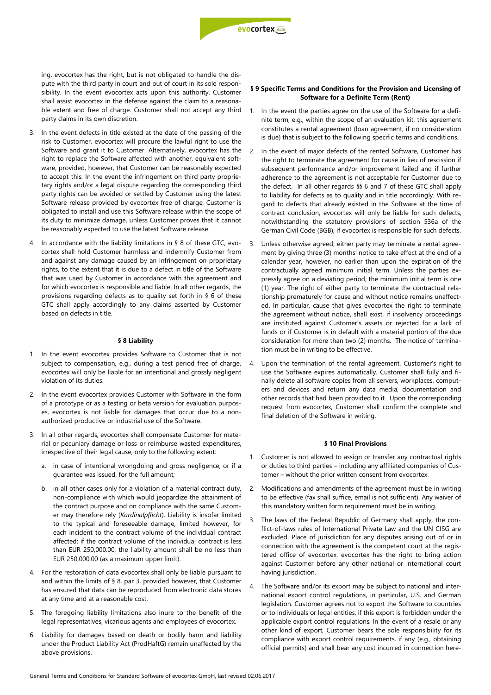

ing. evocortex has the right, but is not obligated to handle the dispute with the third party in court and out of court in its sole responsibility. In the event evocortex acts upon this authority, Customer shall assist evocortex in the defense against the claim to a reasonable extent and free of charge. Customer shall not accept any third party claims in its own discretion.

- 3. In the event defects in title existed at the date of the passing of the risk to Customer, evocortex will procure the lawful right to use the Software and grant it to Customer. Alternatively, evocortex has the right to replace the Software affected with another, equivalent software, provided, however, that Customer can be reasonably expected to accept this. In the event the infringement on third party proprietary rights and/or a legal dispute regarding the corresponding third party rights can be avoided or settled by Customer using the latest Software release provided by evocortex free of charge, Customer is obligated to install and use this Software release within the scope of its duty to minimize damage, unless Customer proves that it cannot be reasonably expected to use the latest Software release.
- 4. In accordance with the liability limitations in § 8 of these GTC, evocortex shall hold Customer harmless and indemnify Customer from and against any damage caused by an infringement on proprietary rights, to the extent that it is due to a defect in title of the Software that was used by Customer in accordance with the agreement and for which evocortex is responsible and liable. In all other regards, the provisions regarding defects as to quality set forth in § 6 of these GTC shall apply accordingly to any claims asserted by Customer based on defects in title.

#### **§ 8 Liability**

- 1. In the event evocortex provides Software to Customer that is not subject to compensation, e.g., during a test period free of charge, evocortex will only be liable for an intentional and grossly negligent violation of its duties.
- 2. In the event evocortex provides Customer with Software in the form of a prototype or as a testing or beta version for evaluation purposes, evocortex is not liable for damages that occur due to a nonauthorized productive or industrial use of the Software.
- 3. In all other regards, evocortex shall compensate Customer for material or pecuniary damage or loss or reimburse wasted expenditures, irrespective of their legal cause, only to the following extent:
	- a. in case of intentional wrongdoing and gross negligence, or if a guarantee was issued, for the full amount;
	- b. in all other cases only for a violation of a material contract duty, non-compliance with which would jeopardize the attainment of the contract purpose and on compliance with the same Customer may therefore rely (*Kardinalpflicht*). Liability is insofar limited to the typical and foreseeable damage, limited however, for each incident to the contract volume of the individual contract affected; if the contract volume of the individual contract is less than EUR 250,000.00, the liability amount shall be no less than EUR 250,000.00 (as a maximum upper limit).
- 4. For the restoration of data evocortex shall only be liable pursuant to and within the limits of § 8, par 3, provided however, that Customer has ensured that data can be reproduced from electronic data stores at any time and at a reasonable cost.
- 5. The foregoing liability limitations also inure to the benefit of the legal representatives, vicarious agents and employees of evocortex.
- 6. Liability for damages based on death or bodily harm and liability under the Product Liability Act (ProdHaftG) remain unaffected by the above provisions.

#### **§ 9 Specific Terms and Conditions for the Provision and Licensing of Software for a Definite Term (Rent)**

- 1. In the event the parties agree on the use of the Software for a definite term, e.g., within the scope of an evaluation kit, this agreement constitutes a rental agreement (loan agreement, if no consideration is due) that is subject to the following specific terms and conditions.
- 2. In the event of major defects of the rented Software, Customer has the right to terminate the agreement for cause in lieu of rescission if subsequent performance and/or improvement failed and if further adherence to the agreement is not acceptable for Customer due to the defect. In all other regards §§ 6 and 7 of these GTC shall apply to liability for defects as to quality and in title accordingly. With regard to defects that already existed in the Software at the time of contract conclusion, evocortex will only be liable for such defects, notwithstanding the statutory provisions of section 536a of the German Civil Code (BGB), if evocortex is responsible for such defects.
- 3. Unless otherwise agreed, either party may terminate a rental agreement by giving three (3) months' notice to take effect at the end of a calendar year, however, no earlier than upon the expiration of the contractually agreed minimum initial term. Unless the parties expressly agree on a deviating period, the minimum initial term is one (1) year. The right of either party to terminate the contractual relationship prematurely for cause and without notice remains unaffected. In particular, cause that gives evocortex the right to terminate the agreement without notice, shall exist, if insolvency proceedings are instituted against Customer's assets or rejected for a lack of funds or if Customer is in default with a material portion of the due consideration for more than two (2) months. The notice of termination must be in writing to be effective.
- Upon the termination of the rental agreement, Customer's right to use the Software expires automatically. Customer shall fully and finally delete all software copies from all servers, workplaces, computers and devices and return any data media, documentation and other records that had been provided to it. Upon the corresponding request from evocortex, Customer shall confirm the complete and final deletion of the Software in writing.

#### **§ 10 Final Provisions**

- 1. Customer is not allowed to assign or transfer any contractual rights or duties to third parties – including any affiliated companies of Customer – without the prior written consent from evocortex.
- 2. Modifications and amendments of the agreement must be in writing to be effective (fax shall suffice, email is not sufficient). Any waiver of this mandatory written form requirement must be in writing.
- 3. The laws of the Federal Republic of Germany shall apply, the conflict-of-laws rules of International Private Law and the UN CISG are excluded. Place of jurisdiction for any disputes arising out of or in connection with the agreement is the competent court at the registered office of evocortex. evocortex has the right to bring action against Customer before any other national or international court having jurisdiction.
- 4. The Software and/or its export may be subject to national and international export control regulations, in particular, U.S. and German legislation. Customer agrees not to export the Software to countries or to individuals or legal entities, if this export is forbidden under the applicable export control regulations. In the event of a resale or any other kind of export, Customer bears the sole responsibility for its compliance with export control requirements, if any (e.g., obtaining official permits) and shall bear any cost incurred in connection here-